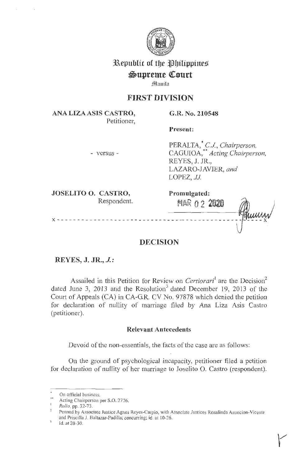

# **3&epublic of** tbe **~bilippitte%**

# $\mathfrak{Supreme}$  Court

**Jlllm1il11** 

## **FIRST DIVISION**

**ANA LIZAASIS CASTRO,**  Petitioner, **G.R. No. 210548** 

**Present:** 

**Promulgated:** 

MAf~ 0 2 **2020** 

- versus -

PERALTA,<sup>\*</sup> C.J., Chairperson, CAGUIOA, \*\* *Acting Chairperson,*  REYES, J. JR., LAZARO-JAVIER, *and*  LOPEZ, *JJ*.

**JOSELITO 0. CASTRO,**  Respondent.

**X** - - - - - - - - - - - - - - - - - - - - - - - - - - - - - - -- - - - - - - - - - - - - - - - - - - - **X** 

# **DECISION**

**REYES, J. JR., J.:** 

Assailed in this Petition for Review on *Certiorari*<sup>1</sup> are the Decision<sup>2</sup> dated June 3, 2013 and the Resolution<sup>3</sup> dated December 19, 2013 of the Court of Appeals (CA) in CA-GR. CV No. 97878 which denied the petition for declaration of nullity of marriage filed by Ana Liza Asis Castro (petitioner).

### **Relevant Antecedents**

Devoid of the non-essentials, the facts of the case are as follows:

On the ground of psychological incapacity, petitioner filed a petition for declaration of nullity of her marriage to Joselito O. Castro (respondent).

On official business.

Acting Chairperson per S.O. 2776.

<sup>&#</sup>x27; *Rollo,* pp. 32-73.

Penned by Associate Justice Agnes Reyes-Carpio, with Associate Justices Rosalinda Asuncion-Vicente and Priscilla J. Baltazar-Padilla; concurring; id. at 10-26.

Id. at 28-30.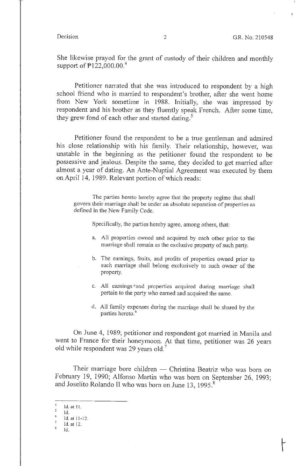She likewise prayed for the grant of custody of their children and monthly support of  $\overline{P}$ 122,000.00.<sup>4</sup>

Petitioner narrated that she was introduced to respondent by a high school friend who is married to respondent's brother, after she went home from New York sometime in 1988. Initially, she was impressed by respondent and his brother as they fluently speak French. After some time, they grew fond of each other and started dating. *<sup>5</sup>*

Petitioner found the respondent to be a true gentleman and admired his close relationship with his family. Their relationship, however, was unstable in the beginning as the petitioner found the respondent to be possessive and jealous. Despite the same, they decided to get married after almost a year of dating. An Ante-Nuptial Agreement was executed by them on April 14, 1989. Relevant portion of which reads:

The parties hereto hereby agree that the property regime that shall govern their maniage shall be under an absolute separation of properties as defined in the New Family Code.

Specifically, the parties hereby agree, among others, that:

- a. All properties owned and acquired by each other prior to the marriage shall remain as the exclusive property of such party.
- b. The earnings, fruits, and profits of properties owned prior to such marriage shall belong exclusively to such owner of the property.
- c. All earnings \*and properties acquired during marriage shall pertain to the party who earned and acquired the same.
- d. All family expenses during the marriage shall be shared by the parties hereto. 6

On June 4, 1989, petitioner and respondent got married in Manila and went to France for their honeymoon. At that time, petitioner was 26 years old while respondent was 29 years old.<sup>7</sup>

Their marriage bore children - Christina Beatriz who was born on February 19, 1990; Alfonso Martin who was born on September 26, 1993; and Joselito Rolando II who was born on June 13, 1995.<sup>8</sup>

 $\overline{4}$ Id. at 11. 5

Id.

 $\frac{6}{7}$  Id. at 11-12.

 $\frac{7}{8}$  Id. at 12.

<sup>8</sup>Id.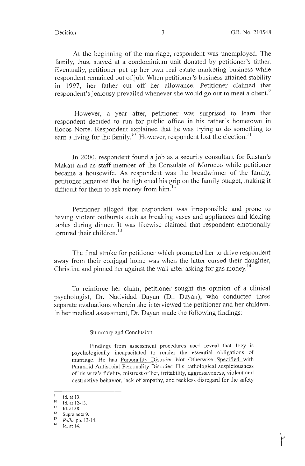At the beginning of the marriage, respondent was unemployed. The family, thus, stayed at a condominium unit donated by petitioner's father. Eventually, petitioner put up her own real estate marketing business while respondent remained out of job. When petitioner's business attained stability in 1997, her father cut off her allowance. Petitioner claimed that respondent's jealousy prevailed whenever she would go out to meet a client.<sup>9</sup>

However, a year after, petitioner was surprised to learn that respondent decided to run for public office in his father's hometown in Ilocos Norte. Respondent explained that he was trying to do something to earn a living for the family.<sup>10</sup> However, respondent lost the election.<sup>11</sup>

In 2000, respondent found a job as a security consultant for Rustan's Makati and as staff member of the Consulate of Morocco while petitioner became a housewife. As respondent was the breadwinner of the family, petitioner lamented that he tightened his grip on the family budget, making it difficult for them to ask money from him.<sup>12</sup>

Petitioner alleged that respondent was irresponsible and prone to having violent outbursts such as breaking vases and appliances and kicking tables during dinner. It was likewise claimed that respondent emotionally tortured their children.  $13$ 

The final stroke for petitioner which prompted her to drive respondent away from their conjugal home was when the latter cursed their daughter, Christina and pinned her against the wall after asking for gas money.<sup>14</sup>

To reinforce her claim, petitioner sought the opinion of a clinical psychologist, Dr. Natividad Dayan (Dr. Dayan), who conducted three separate evaluations wherein she interviewed the petitioner and her children. In her medical assessment, Dr. Dayan made the following findings:

Summary and Conclusion

Findings from assessment procedures used reveal that Joey is psychologically incapacitated to render the essential obligations of marriage. He has Personality Disorder Not Otherwise Specified with Paranoid Antisocial Personality Disorder: His pathological suspiciousness of his wife's fidelity, mistrust of her, irritability, aggressiveness, violent and destructive behavior, lack of empathy, and reckless disregard for the safety

 $\overline{9}$ Id. at 13.

<sup>10</sup> Id. at 12-13.<br>11 Id. at 38.

 $\frac{12}{13}$  Supra note 9.

<sup>13</sup>*Rollo,* pp. 13- 14.

<sup>14</sup> Id.at 14.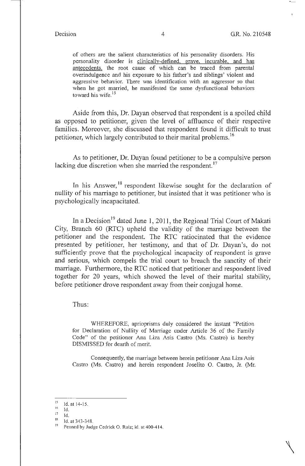$\setminus$ 

of others are the salient characteristics of his personality disorders. His personality disorder is clinically-defined, grave, incurable, and has antecedents, the root cause of which can be traced from parental overindulgence and his exposure to his father's and siblings' violent and aggressive behavior. There was identification with an aggressor so that when he got married, he manifested the same dysfunctional behaviors toward his wife.<sup>15</sup>

Aside from this, Dr. Dayan observed that respondent is a spoiled child as opposed to petitioner, given the level of affluence of their respective families. Moreover, she discussed that respondent found it difficult to trust petitioner, which largely contributed to their marital problems.<sup>16</sup>

As to petitioner, Dr. Dayan found petitioner to be a compulsive person lacking due discretion when she married the respondent.<sup>17</sup>

In his Answer,  $18$  respondent likewise sought for the declaration of nullity of his marriage to petitioner, but insisted that it was petitioner who is psychologically incapacitated.

In a Decision<sup>19</sup> dated June 1, 2011, the Regional Trial Court of Makati City, Branch 60 (RTC) upheld the validity of the marriage between the petitioner and the respondent. The RTC ratiocinated that the evidence presented by petitioner, her testimony, and that of Dr. Dayan's, do not sufficiently prove that the psychological incapacity of respondent is grave and serious, which compels the trial court to breach the sanctity of their marriage. Furthermore, the RTC noticed that petitioner and respondent lived together for 20 years, which showed the level of their marital stability, before petitioner drove respondent away from their conjugal home.

Thus:

WHEREFORE, aprioprisms duly considered the instant "Petition for Declaration of Nullity of Marriage under Article 36 of the Family Code" of the petitioner Ana Liza Asis Castro (Ms. Castro) is hereby DISMISSED for dearth of merit.

Consequently, the marriage between herein petitioner Ana Liza Asis Castro (Ms. Castro) and herein respondent Joselito O. Castro, Jr. (Mr.

- $\frac{16}{17}$  Id.
- 

 $\frac{15}{16}$  Id. at 14-15.

 $\frac{11}{18}$  Id. at 343-348.

Penned by Judge Cedrick O. Ruiz; id. at 400-414.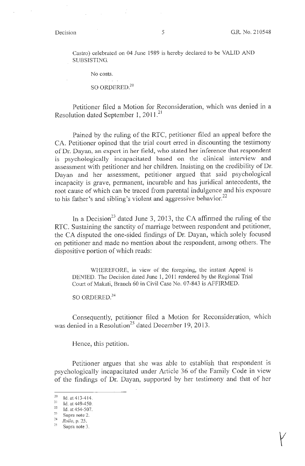Castro) celebrated on 04 June 1989 is hereby declared to be VALID AND SUBSISTING.

No costs.

عاد عام الله ال SO ORDERED.<sup>20</sup>

Petitioner filed a Motion for Reconsideration, which was denied in a Resolution dated September 1, 2011.<sup>21</sup>

Pained by the ruling of the RTC, petitioner filed an appeal before the CA. Petitioner opined that the trial court erred in discounting the testimony of Dr. Dayan, an expert in her field, who stated her inference that respondent is psychologically incapacitated based on the clinical interview and assessment with petitioner and her children. Insisting on the credibility of Dr. Dayan and her assessment, petitioner argued that said psychological incapacity is grave, permanent, incurable and has juridical antecedents, the root cause of which can be traced from parental indulgence and his exposure to his father's and sibling's violent and aggressive behavior.<sup>22</sup>

In a Decision<sup>23</sup> dated June 3, 2013, the CA affirmed the ruling of the RTC. Sustaining the sanctity of marriage between respondent and petitioner, the CA disputed the one-sided findings of Dr. Dayan, which solely focused on petitioner and made no mention about the respondent, among others. The dispositive portion of which reads:

WHEREFORE, in view of the foregoing, the instant Appeal is DENIED. The Decision dated June 1, 2011 rendered by the Regional Trial Court of Makati, Branch 60 in Civil Case No. 07-843 is AFFIRMED.

SO ORDERED.<sup>24</sup>

Consequently, petitioner filed a Motion for Reconsideration, which was denied in a Resolution<sup>25</sup> dated December 19, 2013.

Hence, this petition.

Petitioner argues that she was able to establish that respondent is psychologically incapacitated under Article 36 of the Family Code in view of the findings of Dr. Dayan, supported by her testimony and that of her

 $\frac{20}{21}$  Id. at 413-414.

<sup>21</sup> Id. at 449-450. 22 ld. at 454-507. 23 **Supra note** 2.

 $\frac{24}{25}$  *Rollo*, p. 25.<br>Supra note 3.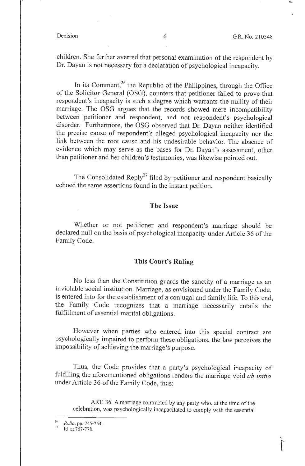children. She further averred that personal examination of the respondent by Dr. Dayan is not necessary for a declaration of psychological incapacity.

In its Comment,<sup>26</sup> the Republic of the Philippines, through the Office of the Solicitor General (OSG), counters that petitioner failed to prove that respondent's incapacity is such a degree which warrants the nullity of their marriage. The OSG argues that the records showed mere incompatibility between petitioner and respondent, and not respondent's psychological disorder. Furthermore, the OSG observed that Dr. Dayan neither identified the precise cause of respondent's alleged psychological incapacity nor the link between the root cause and his undesirable behavior. The absence of evidence which may serve as the bases for Dr. Dayan 's assessment, other than petitioner and her children's testimonies, was likewise pointed out.

The Consolidated Reply<sup>27</sup> filed by petitioner and respondent basically echoed the same assertions found in the instant petition.

### **The Issue**

Whether or not petitioner and respondent's marriage should be declared null on the basis of psychological incapacity under Article 36 of the Family Code.

### **This Court's Ruling**

No less than the Constitution guards the sanctity of a marriage as an inviolable social institution. Marriage, as envisioned under the Family Code, is entered into for the establishment of a conjugal and family life. To this end, the Family Code recognizes that a marriage necessarily entails the fulfillment of essential marital obligations.

However when parties who entered into this special contract are psychologically impaired to perform these obligations, the law perceives the impossibility of achieving the marriage's purpose.

Thus, the Code provides that a party's psychological incapacity of fulfilling the aforementioned obligations renders the marriage void *ab initio*  under Article 36 of the Family Code, thus:

ART. 36. A marriage contracted by any party who, at the time of the celebration, was psychologically incapacitated to comply with the essential

 $\frac{26}{27}$  *Rollo*, pp. 745-764.<br>Id at 767-778.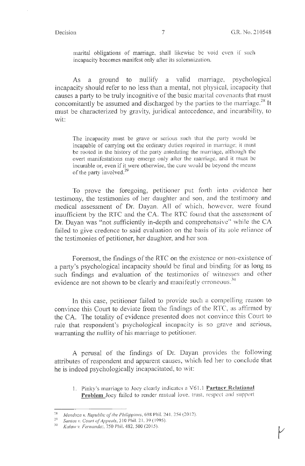marital obligations of marriage, shall likewise be void even if such incapacity becomes manifest only after its solemnization.

As a ground to nullify a valid marriage, psychological incapacity should refer to no less than a mental, not physical, incapacity that causes a party to be truly incognitive of the basic marital covenants that must concomitantly be assumed and discharged by the parties to the marriage.<sup>28</sup> It must be characterized by gravity, juridical antecedence, and incurability, to wit:

The incapacity must be grave or serious such that the party would be incapable of carrying out the ordinary duties required in marriage; it must be rooted in the history of the party antedating the marriage, although the overt manifestations may emerge only after the marriage, and it must be incurable or, even if it were otherwise, the cure would be beyond the means of the party involved.<sup>29</sup>

To prove the foregoing, petitioner put forth into evidence her testimony, the testimonies of her daughter and son, and the testimony and medical assessment of Dr. Dayan. All of which, however, were found insufficient by the RTC and the CA. The RTC found that the assessment of Dr. Dayan was "not sufficiently in-depth and comprehensive" while the CA failed to give credence to said evaluation on the basis of its sole reliance of the testimonies of petitioner, her daughter, and her son.

Foremost, the findings of the RTC on the existence or non-existence of a party's psychological incapacity should be final and binding for as long as such findings and evaluation of the testimonies of witnesses and other evidence are not shown to be clearly and manifestly erroneous.<sup>30</sup>

In this case, petitioner failed to provide such a compelling reason to convince this Court to deviate from the findings of the RTC, as affirmed by the CA. The totality of evidence presented does not convince this Court to rule that respondent's psychological incapacity is so grave and serious, warranting the nullity of his marriage to petitioner.

A perusal of the findings of Dr. Dayan provides the following attributes of respondent and apparent causes, which led her to conclude that he is indeed psychologically incapacitated, to wit:

1. Pinky's marriage to Joey clearly indicates a V6 1. l **Partner Relational Problem** Joey failed to render mutual love, trust, respect and support

<sup>&</sup>lt;sup>28</sup> Mendoza v. Republic of the Philippines, 698 Phil. 241, 254 (2012).

<sup>&</sup>lt;sup>29</sup> Santos v. Court of Appeals, 310 Phil. 21, 39 (1995).

w *Ka/aw v. Fernandez,* 750 Phil. 482, 500(20 15).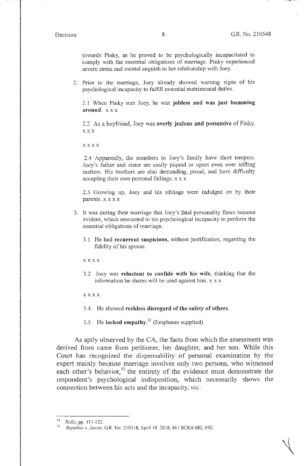towards Pinky, as he proved to be psychologically incapacitated to comply with the essential obligations of marriage. Pinky experienced severe stress and mental anguish in her relationship with Joey.

2. Prior to the marriage, Joey already showed warning signs of his psychological incapacity to fulfill essential matrimonial duties.

2.1 When Pinky met Joey, he was **jobless and was just bumming around.** xx x

2.2 As a boyfriend, Joey was **overly jealous and possessive** of Pinky. **X XX** 

**xx x x** 

2.4 Apparently, the members in Joey's family have short tempers. Joey's father and sister are easily piqued or upset even over trifling matters. His brothers are also demanding, proud, and have difficulty accepting their own personal failings. x x x

2.5 Growing up, Joey and his siblings were indulged on by their parents. x x x x

- 3. It was during their marriage that Joey's fatal personality flaws became evident, which amounted to his psychological incapacity to perfonn the essential obligations of marriage.
	- 3.1 He had **recurrent suspicions,** without justification, regarding the fidelity of his spouse.

x xxx

3 .2 Joey was **reluctant to confide with his wife,** thinking that the information he shares will be used against him. x x x

**x xxx** 

- 3.4. He showed **reckless disregard of the safety of others.**
- 3.5 He **lacked empathy.<sup>31</sup>**(Emphases supplied)

As aptly observed by the CA, the facts from which the assessment was derived from came from petitioner, her daughter, and her son. While this Court has recognized the dispensability of personal examination by the expert mainly because marriage involves only two persons, who witnessed each other's behavior,<sup>32</sup> the entirety of the evidence must demonstrate the respondent's psychological indisposition, which necessarily shows the connection between his acts and the incapacity, *viz.:* 

<sup>31</sup>*Rollo,* pp. 117-122.

<sup>32</sup>*Republic v. Javier,* GR. No. 210518, April 18, 2018, 861 SCRA 682, 692.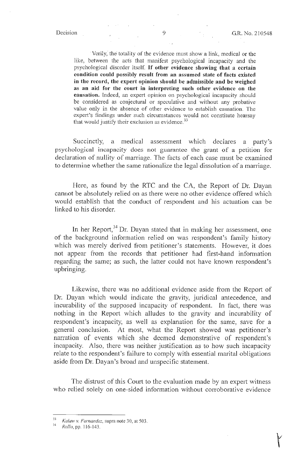· Verily, the totality of the evidence must show a link, medical or the like, between the acts that manifest psychological incapacity and the psychological disordet itself. If **other evidence showing that a certain condition could possibly result from an assumed state of facts existed in the record, the expert opinion should be admissible and be weighed as an aid for the court in interpreting such other evidence on tbe causation.** Indeed, an expert opinion on psychological incapacity should be considered as conjectural or speculative and without any probative value only in the absence of other evidence to establish causation. The expert's findings under such circumstances would not constitute hearsay that would justify their exclusion as evidence.  $33$ 

Succinctly, a medical assessment which declares a party's psychological incapacity does not guarantee the grant of a petition for declaration of nullity of marriage. The facts of each case must be examined to determine whether the same rationalize the legal dissolution of a marriage.

Here, as found by the RTC and the CA, the Report of Dr. Dayan cannot be absolutely relied on as there were no other evidence offered which would establish that the conduct of respondent and his actuation can be linked to his disorder.

In her Report,<sup>34</sup> Dr. Dayan stated that in making her assessment, one of the background information relied on was respondent's family history which was merely derived from petitioner's statements. However, it does not appear from the records that petitioner had first-hand information regarding the same; as such, the latter could not have known respondent's upbringing.

Likewise, there was no additional evidence aside from the Report of Dr. Dayan which would indicate the gravity, juridical antecedence, and incurability of the supposed incapacity of respondent. In fact, there was nothing in the Report which alludes to the gravity and incurability of respondent's incapacity, as well as explanation for the same, save for a general conclusion. At most, what the Report showed was petitioner's narration of events which she deemed demonstrative of respondent's incapacity. Also, there was neither justification as to how such incapacity relate to the respondent's failure to comply with essential marital obligations aside from Dr. Dayan's broad and unspecific statement.

The distrust of this Court to the evaluation made by an expert witness who relied solely on one-sided information without corroborative evidence

*Kalaw v. Fernandez*, supra note 30, at 503. *Rollo*, pp. 116-143.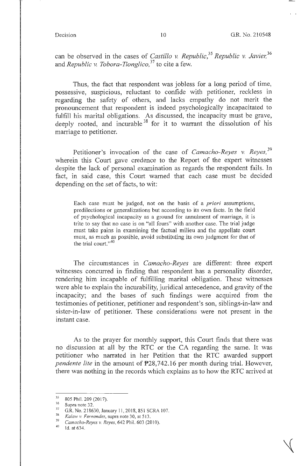can be observed in the cases of *Castillo v. Republic,35 Republic* v. *Javier, <sup>36</sup>* and *Republic v. Tobora-Tionglico,* 37 to cite a few.

Thus, the fact that respondent was jobless for a long period of time, possessive, suspicious, reluctant to confide with petitioner, reckless in regarding the safety of others, and lacks empathy do not merit the pronouncement that respondent is indeed psychologically incapacitated to fulfill his marital obligations. As discussed, the incapacity must be grave, deeply rooted, and incurable<sup>38</sup> for it to warrant the dissolution of his marriage to petitioner.

Petitioner's invocation of the case of *Camacho-Reyes v. Reyes,* <sup>39</sup> wherein this Court gave credence to the Report of the expert witnesses despite the lack of personal examination as regards the respondent fails. In fact, in said case, this Court warned that each case must be decided depending on the set of facts, to wit:

Each case must be judged, not on the basis of a *priori* assumptions, predilections or generalizations but according to its own facts. In the field of psychological incapacity as a ground for annulment of marriage, it is trite to say that no case is on "all fours" with another case. The trial judge must take pains in examining the factual milieu and the appellate court must, as much as possible, avoid substituting its own judgment for that of the trial court."<sup>40</sup>

The circumstances in *Camacho-Reyes* are different: three expert witnesses concurred in finding that respondent has a personality disorder, rendering him incapable of fulfilling marital obligation. These witnesses were able to explain the incurability, juridical antecedence, and gravity of the incapacity; and the bases of such findings were acquired from the testimonies of petitioner, petitioner and respondent's son, siblings-in-law and sister-in-law of petitioner. These considerations were not present in the instant case.

As to the prayer for monthly support, this Court finds that there was no discussion at all by the RTC or the CA regarding the same. It was petitioner who narrated in her Petition that the RTC awarded support *pendente lite* in the amount of P28,742.16 per month during trial. However, there was nothing in the records which explains as to how the RTC arrived at

<sup>35 805</sup> Phil. 209 (2017).<br>
36 Supra note 32.<br>
37 G.R. No. 218630, January 11, 2018, 851 SCRA 107.<br>
38 *Kalaw v. Fernandez*, supra note 30, at 513.<br>
39 Gunnache Durang Purpa 613 Phil. 603 (2019).

<sup>&</sup>lt;sup>39</sup> *Camacho-Reyes v. Reyes*, 642 Phil. 603 (2010).<br><sup>40</sup> Id. at 634.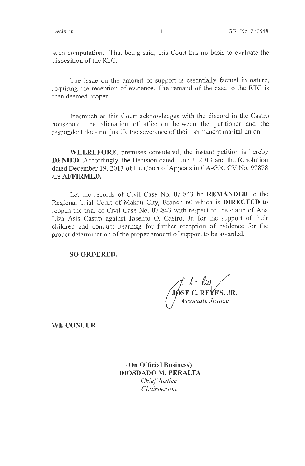such computation. That being said, this Court has no basis to evaluate the disposition of the RTC.

The issue on the amount of support is essentially factual in nature, requiring the reception of evidence. The remand of the case to the RTC is then deemed proper.

Inasmuch as this Court acknowledges with the discord in the Castro household, the alienation of affection between the petitioner and the respondent does not justify the severance of their permanent marital union.

**WHEREFORE,** premises considered, the instant petition is hereby **DENIED.** Accordingly, the Decision dated June 3, 2013 and the Resolution dated December 19, 2013 of the Comt of Appeals in CA-G.R. CV No. 97878 are **AFFIRMED.** 

Let the records of Civil Case No. 07-843 be **REMANDED** to the Regional Trial Court of Makati City, Branch 60 which is **DIRECTED** to reopen the trial of Civil Case No. 07-843 with respect to the claim of Ana Liza Asis Castro against Joselito O. Castro, Jr. for the support of their children and conduct hearings for further reception of evidence for the proper determination of the proper amount of support to be awarded.

**SO ORDERED.** 

*I· f111* / **SE C. REYES, JR.** *Associate Justice* 

**WE CONCUR:** 

**(On Official Business) DIOSDADO M. PERALTA**  *Chief Justice Chairperson*